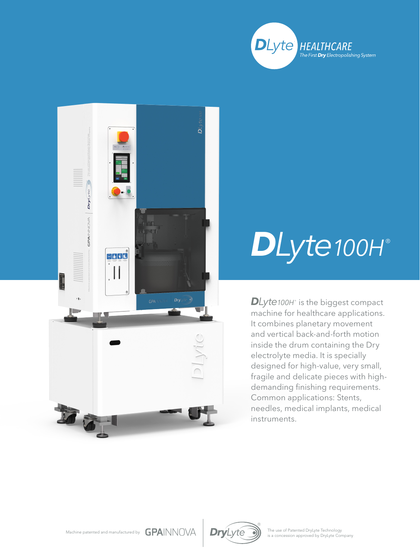



## *DLyte100H* ®

 $D$ *Lyte100H* $\degree$  is the biggest compact machine for healthcare applications. It combines planetary movement and vertical back-and-forth motion inside the drum containing the Dry electrolyte media. It is specially designed for high-value, very small, fragile and delicate pieces with highdemanding finishing requirements. Common applications: Stents, needles, medical implants, medical instruments.





The use of Patented DryLyte Technology<br>is a concession approved by DryLyte Company